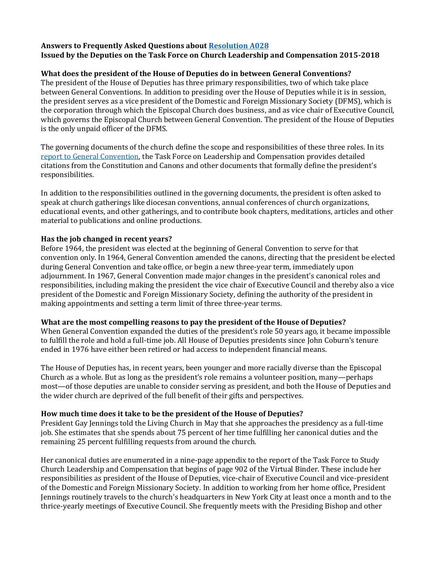### **Answers to Frequently Asked Questions about [Resolution A028](https://www.vbinder.net/resolutions/A028?house=hd&lang=en&v=7256d6) Issued by the Deputies on the Task Force on Church Leadership and Compensation 2015-2018**

## **What does the president of the House of Deputies do in between General Conventions?**

The president of the House of Deputies has three primary responsibilities, two of which take place between General Conventions. In addition to presiding over the House of Deputies while it is in session, the president serves as a vice president of the Domestic and Foreign Missionary Society (DFMS), which is the corporation through which the Episcopal Church does business, and as vice chair of Executive Council, which governs the Episcopal Church between General Convention. The president of the House of Deputies is the only unpaid officer of the DFMS.

The governing documents of the church define the scope and responsibilities of these three roles. In its [report to General Convention,](https://extranet.generalconvention.org/staff/files/download/20902) the Task Force on Leadership and Compensation provides detailed citations from the Constitution and Canons and other documents that formally define the president's responsibilities.

In addition to the responsibilities outlined in the governing documents, the president is often asked to speak at church gatherings like diocesan conventions, annual conferences of church organizations, educational events, and other gatherings, and to contribute book chapters, meditations, articles and other material to publications and online productions.

### **Has the job changed in recent years?**

Before 1964, the president was elected at the beginning of General Convention to serve for that convention only. In 1964, General Convention amended the canons, directing that the president be elected during General Convention and take office, or begin a new three-year term, immediately upon adjournment. In 1967, General Convention made major changes in the president's canonical roles and responsibilities, including making the president the vice chair of Executive Council and thereby also a vice president of the Domestic and Foreign Missionary Society, defining the authority of the president in making appointments and setting a term limit of three three-year terms.

#### **What are the most compelling reasons to pay the president of the House of Deputies?**

When General Convention expanded the duties of the president's role 50 years ago, it became impossible to fulfill the role and hold a full-time job. All House of Deputies presidents since John Coburn's tenure ended in 1976 have either been retired or had access to independent financial means.

The House of Deputies has, in recent years, been younger and more racially diverse than the Episcopal Church as a whole. But as long as the president's role remains a volunteer position, many—perhaps most—of those deputies are unable to consider serving as president, and both the House of Deputies and the wider church are deprived of the full benefit of their gifts and perspectives.

#### **How much time does it take to be the president of the House of Deputies?**

President Gay Jennings told the Living Church in May that she approaches the presidency as a full-time job. She estimates that she spends about 75 percent of her time fulfilling her canonical duties and the remaining 25 percent fulfilling requests from around the church.

Her canonical duties are enumerated in a nine-page appendix to the report of the Task Force to Study Church Leadership and Compensation that begins of page 902 of the Virtual Binder. These include her responsibilities as president of the House of Deputies, vice-chair of Executive Council and vice-president of the Domestic and Foreign Missionary Society. In addition to working from her home office, President Jennings routinely travels to the church's headquarters in New York City at least once a month and to the thrice-yearly meetings of Executive Council. She frequently meets with the Presiding Bishop and other